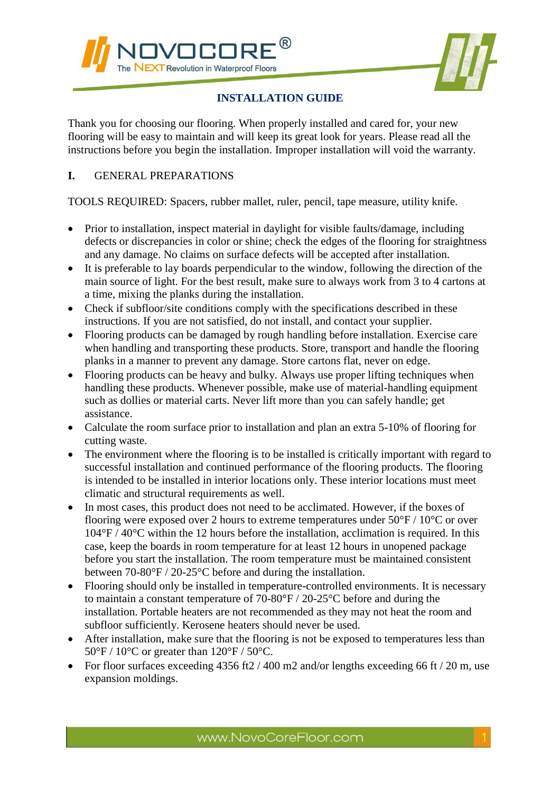



# **INSTALLATION GUIDE**

Thank you for choosing our flooring. When properly installed and cared for, your new flooring will be easy to maintain and will keep its great look for years. Please read all the instructions before you begin the installation. Improper installation will void the warranty.

# **I.** GENERAL PREPARATIONS

TOOLS REQUIRED: Spacers, rubber mallet, ruler, pencil, tape measure, utility knife.

- Prior to installation, inspect material in daylight for visible faults/damage, including defects or discrepancies in color or shine; check the edges of the flooring for straightness and any damage. No claims on surface defects will be accepted after installation.
- It is preferable to lay boards perpendicular to the window, following the direction of the main source of light. For the best result, make sure to always work from 3 to 4 cartons at a time, mixing the planks during the installation.
- Check if subfloor/site conditions comply with the specifications described in these instructions. If you are not satisfied, do not install, and contact your supplier.
- Flooring products can be damaged by rough handling before installation. Exercise care when handling and transporting these products. Store, transport and handle the flooring planks in a manner to prevent any damage. Store cartons flat, never on edge.
- Flooring products can be heavy and bulky. Always use proper lifting techniques when handling these products. Whenever possible, make use of material-handling equipment such as dollies or material carts. Never lift more than you can safely handle; get assistance.
- Calculate the room surface prior to installation and plan an extra 5-10% of flooring for cutting waste.
- The environment where the flooring is to be installed is critically important with regard to successful installation and continued performance of the flooring products. The flooring is intended to be installed in interior locations only. These interior locations must meet climatic and structural requirements as well.
- In most cases, this product does not need to be acclimated. However, if the boxes of flooring were exposed over 2 hours to extreme temperatures under 50°F / 10°C or over 104°F / 40°C within the 12 hours before the installation, acclimation is required. In this case, keep the boards in room temperature for at least 12 hours in unopened package before you start the installation. The room temperature must be maintained consistent between 70-80°F / 20-25°C before and during the installation.
- Flooring should only be installed in temperature-controlled environments. It is necessary to maintain a constant temperature of 70-80°F / 20-25°C before and during the installation. Portable heaters are not recommended as they may not heat the room and subfloor sufficiently. Kerosene heaters should never be used.
- After installation, make sure that the flooring is not be exposed to temperatures less than  $50^{\circ}$ F / 10°C or greater than 120°F / 50°C.
- For floor surfaces exceeding 4356 ft2 / 400 m2 and/or lengths exceeding 66 ft / 20 m, use expansion moldings.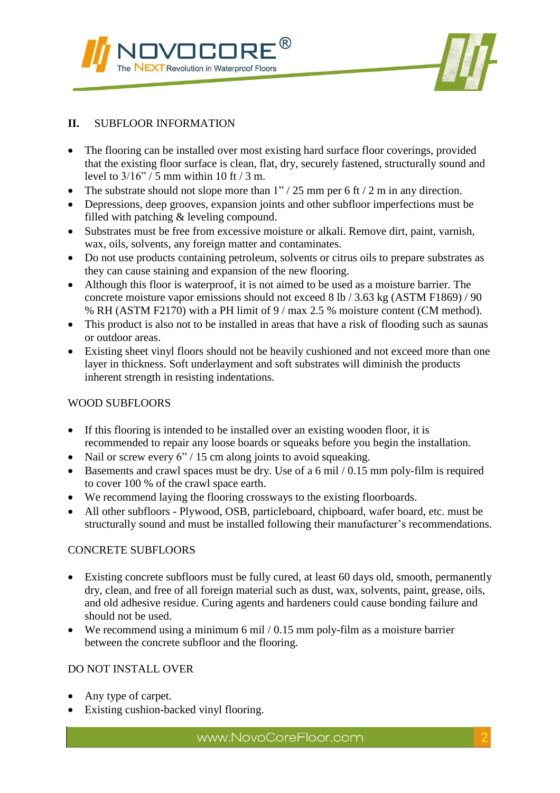



## **II.** SUBFLOOR INFORMATION

- The flooring can be installed over most existing hard surface floor coverings, provided that the existing floor surface is clean, flat, dry, securely fastened, structurally sound and level to  $3/16$ " / 5 mm within 10 ft / 3 m.
- The substrate should not slope more than  $1" / 25$  mm per 6 ft  $/ 2$  m in any direction.
- Depressions, deep grooves, expansion joints and other subfloor imperfections must be filled with patching & leveling compound.
- Substrates must be free from excessive moisture or alkali. Remove dirt, paint, varnish, wax, oils, solvents, any foreign matter and contaminates.
- Do not use products containing petroleum, solvents or citrus oils to prepare substrates as they can cause staining and expansion of the new flooring.
- Although this floor is waterproof, it is not aimed to be used as a moisture barrier. The concrete moisture vapor emissions should not exceed 8 lb / 3.63 kg (ASTM F1869) / 90 % RH (ASTM F2170) with a PH limit of 9 / max 2.5 % moisture content (CM method).
- This product is also not to be installed in areas that have a risk of flooding such as saunas or outdoor areas.
- Existing sheet vinyl floors should not be heavily cushioned and not exceed more than one layer in thickness. Soft underlayment and soft substrates will diminish the products inherent strength in resisting indentations.

# WOOD SUBFLOORS

- If this flooring is intended to be installed over an existing wooden floor, it is recommended to repair any loose boards or squeaks before you begin the installation.
- Nail or screw every  $6''/15$  cm along joints to avoid squeaking.
- $\bullet$  Basements and crawl spaces must be dry. Use of a 6 mil / 0.15 mm poly-film is required to cover 100 % of the crawl space earth.
- We recommend laying the flooring crossways to the existing floorboards.
- All other subfloors Plywood, OSB, particleboard, chipboard, wafer board, etc. must be structurally sound and must be installed following their manufacturer's recommendations.

### CONCRETE SUBFLOORS

- Existing concrete subfloors must be fully cured, at least 60 days old, smooth, permanently dry, clean, and free of all foreign material such as dust, wax, solvents, paint, grease, oils, and old adhesive residue. Curing agents and hardeners could cause bonding failure and should not be used.
- $\bullet$  We recommend using a minimum 6 mil / 0.15 mm poly-film as a moisture barrier between the concrete subfloor and the flooring.

### DO NOT INSTALL OVER

- Any type of carpet.
- Existing cushion-backed vinyl flooring.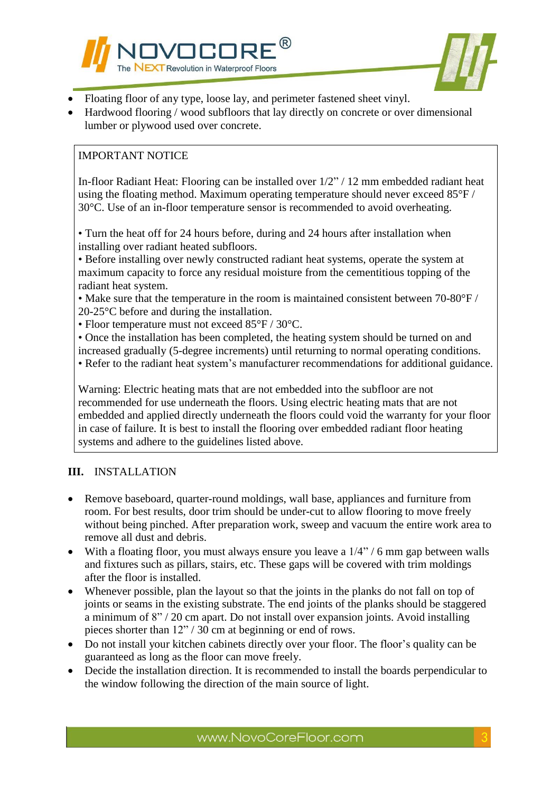



- Floating floor of any type, loose lay, and perimeter fastened sheet vinyl.
- Hardwood flooring / wood subfloors that lay directly on concrete or over dimensional lumber or plywood used over concrete.

# IMPORTANT NOTICE

In-floor Radiant Heat: Flooring can be installed over 1/2" / 12 mm embedded radiant heat using the floating method. Maximum operating temperature should never exceed 85°F / 30°C. Use of an in-floor temperature sensor is recommended to avoid overheating.

• Turn the heat off for 24 hours before, during and 24 hours after installation when installing over radiant heated subfloors.

• Before installing over newly constructed radiant heat systems, operate the system at maximum capacity to force any residual moisture from the cementitious topping of the radiant heat system.

• Make sure that the temperature in the room is maintained consistent between 70-80°F / 20-25°C before and during the installation.

• Floor temperature must not exceed 85°F / 30°C.

• Once the installation has been completed, the heating system should be turned on and increased gradually (5-degree increments) until returning to normal operating conditions. • Refer to the radiant heat system's manufacturer recommendations for additional guidance.

Warning: Electric heating mats that are not embedded into the subfloor are not recommended for use underneath the floors. Using electric heating mats that are not embedded and applied directly underneath the floors could void the warranty for your floor in case of failure. It is best to install the flooring over embedded radiant floor heating systems and adhere to the guidelines listed above.

# **III.** INSTALLATION

- Remove baseboard, quarter-round moldings, wall base, appliances and furniture from room. For best results, door trim should be under-cut to allow flooring to move freely without being pinched. After preparation work, sweep and vacuum the entire work area to remove all dust and debris.
- With a floating floor, you must always ensure you leave a  $1/4$ " / 6 mm gap between walls and fixtures such as pillars, stairs, etc. These gaps will be covered with trim moldings after the floor is installed.
- Whenever possible, plan the layout so that the joints in the planks do not fall on top of joints or seams in the existing substrate. The end joints of the planks should be staggered a minimum of 8" / 20 cm apart. Do not install over expansion joints. Avoid installing pieces shorter than 12" / 30 cm at beginning or end of rows.
- Do not install your kitchen cabinets directly over your floor. The floor's quality can be guaranteed as long as the floor can move freely.
- Decide the installation direction. It is recommended to install the boards perpendicular to the window following the direction of the main source of light.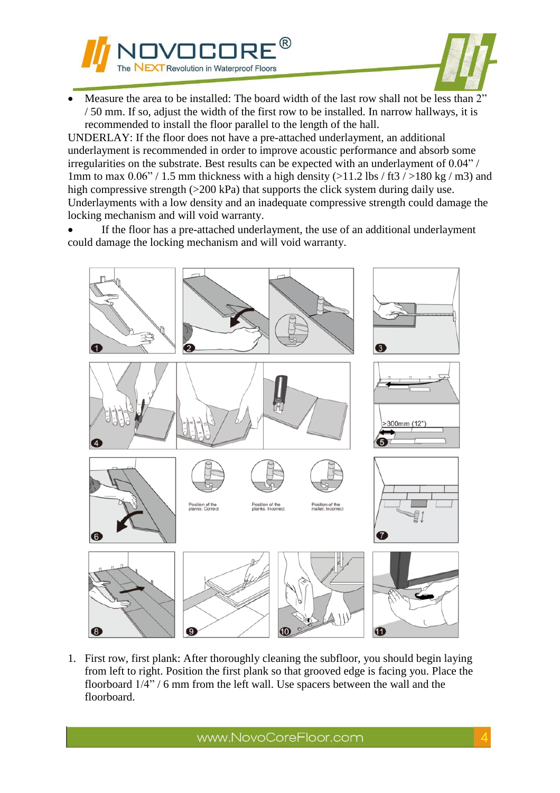



 Measure the area to be installed: The board width of the last row shall not be less than 2" / 50 mm. If so, adjust the width of the first row to be installed. In narrow hallways, it is recommended to install the floor parallel to the length of the hall.

UNDERLAY: If the floor does not have a pre-attached underlayment, an additional underlayment is recommended in order to improve acoustic performance and absorb some irregularities on the substrate. Best results can be expected with an underlayment of 0.04" / 1mm to max  $0.06$ " / 1.5 mm thickness with a high density ( $>11.2$  lbs / ft3 /  $>180$  kg / m3) and high compressive strength (>200 kPa) that supports the click system during daily use. Underlayments with a low density and an inadequate compressive strength could damage the locking mechanism and will void warranty.

 If the floor has a pre-attached underlayment, the use of an additional underlayment could damage the locking mechanism and will void warranty.



1. First row, first plank: After thoroughly cleaning the subfloor, you should begin laying from left to right. Position the first plank so that grooved edge is facing you. Place the floorboard 1/4" / 6 mm from the left wall. Use spacers between the wall and the floorboard.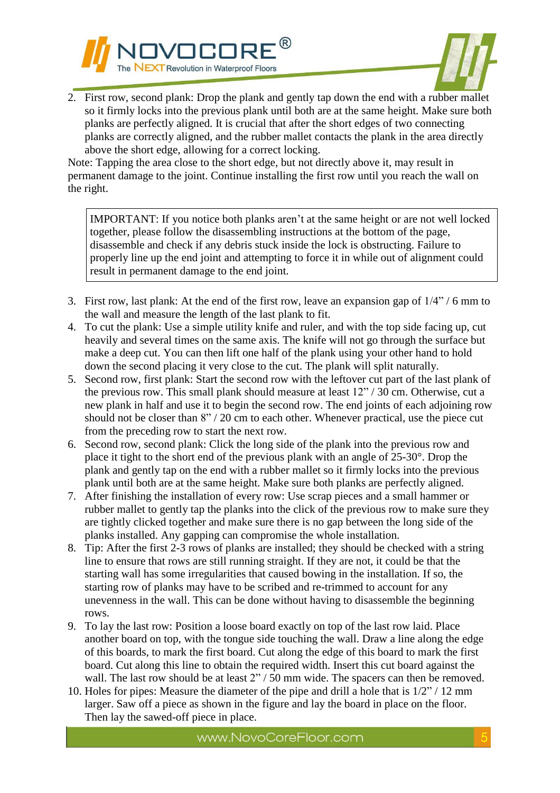



2. First row, second plank: Drop the plank and gently tap down the end with a rubber mallet so it firmly locks into the previous plank until both are at the same height. Make sure both planks are perfectly aligned. It is crucial that after the short edges of two connecting planks are correctly aligned, and the rubber mallet contacts the plank in the area directly above the short edge, allowing for a correct locking.

Note: Tapping the area close to the short edge, but not directly above it, may result in permanent damage to the joint. Continue installing the first row until you reach the wall on the right.

IMPORTANT: If you notice both planks aren't at the same height or are not well locked together, please follow the disassembling instructions at the bottom of the page, disassemble and check if any debris stuck inside the lock is obstructing. Failure to properly line up the end joint and attempting to force it in while out of alignment could result in permanent damage to the end joint.

- 3. First row, last plank: At the end of the first row, leave an expansion gap of 1/4" / 6 mm to the wall and measure the length of the last plank to fit.
- 4. To cut the plank: Use a simple utility knife and ruler, and with the top side facing up, cut heavily and several times on the same axis. The knife will not go through the surface but make a deep cut. You can then lift one half of the plank using your other hand to hold down the second placing it very close to the cut. The plank will split naturally.
- 5. Second row, first plank: Start the second row with the leftover cut part of the last plank of the previous row. This small plank should measure at least 12" / 30 cm. Otherwise, cut a new plank in half and use it to begin the second row. The end joints of each adjoining row should not be closer than 8" / 20 cm to each other. Whenever practical, use the piece cut from the preceding row to start the next row.
- 6. Second row, second plank: Click the long side of the plank into the previous row and place it tight to the short end of the previous plank with an angle of 25-30°. Drop the plank and gently tap on the end with a rubber mallet so it firmly locks into the previous plank until both are at the same height. Make sure both planks are perfectly aligned.
- 7. After finishing the installation of every row: Use scrap pieces and a small hammer or rubber mallet to gently tap the planks into the click of the previous row to make sure they are tightly clicked together and make sure there is no gap between the long side of the planks installed. Any gapping can compromise the whole installation.
- 8. Tip: After the first 2-3 rows of planks are installed; they should be checked with a string line to ensure that rows are still running straight. If they are not, it could be that the starting wall has some irregularities that caused bowing in the installation. If so, the starting row of planks may have to be scribed and re-trimmed to account for any unevenness in the wall. This can be done without having to disassemble the beginning rows.
- 9. To lay the last row: Position a loose board exactly on top of the last row laid. Place another board on top, with the tongue side touching the wall. Draw a line along the edge of this boards, to mark the first board. Cut along the edge of this board to mark the first board. Cut along this line to obtain the required width. Insert this cut board against the wall. The last row should be at least  $2" / 50$  mm wide. The spacers can then be removed.
- 10. Holes for pipes: Measure the diameter of the pipe and drill a hole that is 1/2" / 12 mm larger. Saw off a piece as shown in the figure and lay the board in place on the floor. Then lay the sawed-off piece in place.